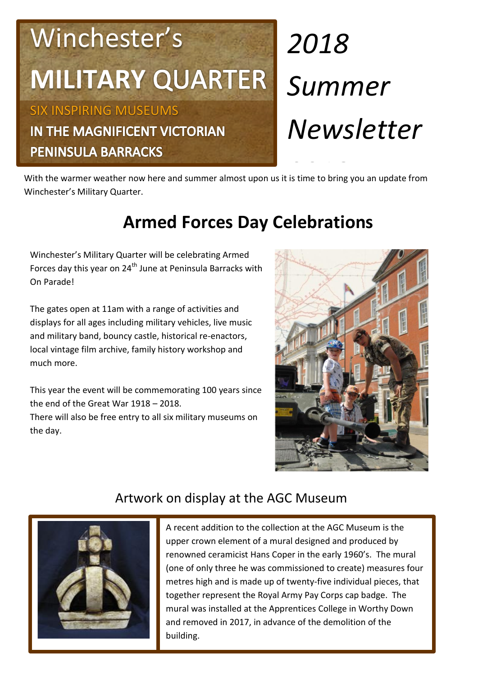# Winchester's **MILITARY**

SIX INSPIRING MUSEUMS IN THE MAGNIFICENT VICTORIAN **PENINSULA BARRACKS** 

# *2018 Summer Newsletter*

With the warmer weather now here and summer almost upon us it is time to bring you an update from Winchester's Military Quarter.

## **Armed Forces Day Celebrations**

Winchester's Military Quarter will be celebrating Armed Forces day this year on  $24<sup>th</sup>$  June at Peninsula Barracks with On Parade!

The gates open at 11am with a range of activities and displays for all ages including military vehicles, live music and military band, bouncy castle, historical re-enactors, local vintage film archive, family history workshop and much more.

This year the event will be commemorating 100 years since the end of the Great War 1918 – 2018.

There will also be free entry to all six military museums on the day.



### Artwork on display at the AGC Museum



A recent addition to the collection at the AGC Museum is the upper crown element of a mural designed and produced by renowned ceramicist Hans Coper in the early 1960's. The mural (one of only three he was commissioned to create) measures four metres high and is made up of twenty-five individual pieces, that together represent the Royal Army Pay Corps cap badge. The mural was installed at the Apprentices College in Worthy Down and removed in 2017, in advance of the demolition of the building.